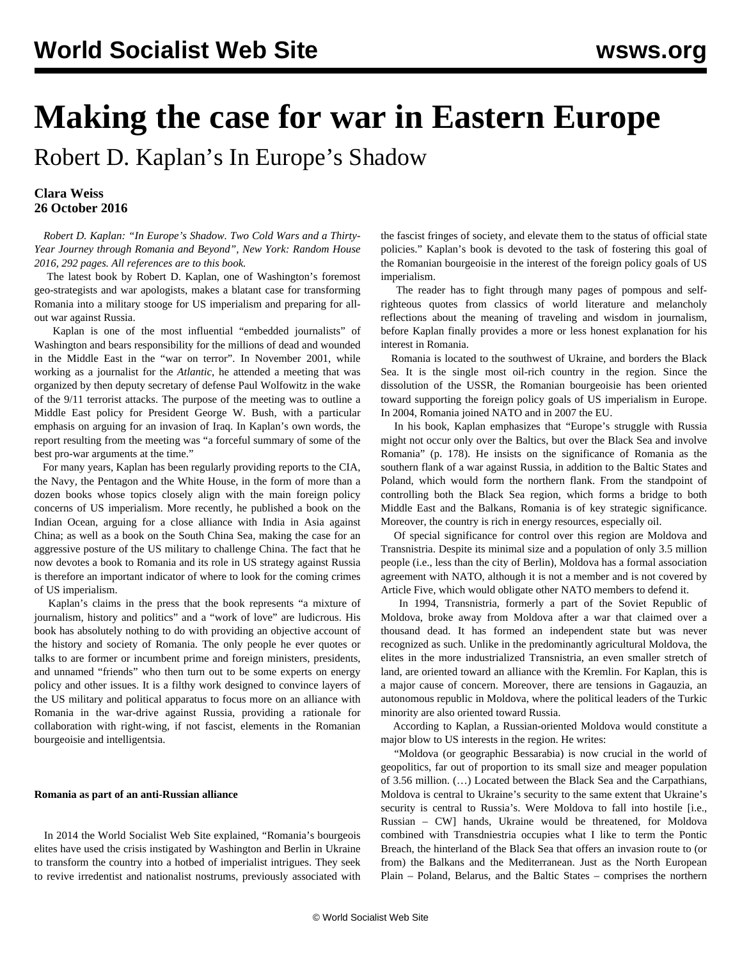## **Making the case for war in Eastern Europe**

Robert D. Kaplan's In Europe's Shadow

## **Clara Weiss 26 October 2016**

 *Robert D. Kaplan: "In Europe's Shadow. Two Cold Wars and a Thirty-Year Journey through Romania and Beyond", New York: Random House 2016, 292 pages. All references are to this book.*

 The latest book by Robert D. Kaplan, one of Washington's foremost geo-strategists and war apologists, makes a blatant case for transforming Romania into a military stooge for US imperialism and preparing for allout war against Russia.

 Kaplan is one of the most influential "embedded journalists" of Washington and bears responsibility for the millions of dead and wounded in the Middle East in the "war on terror". In November 2001, while working as a journalist for the *Atlantic*, he attended a meeting that was organized by then deputy secretary of defense Paul Wolfowitz in the wake of the 9/11 terrorist attacks. The purpose of the meeting was to outline a Middle East policy for President George W. Bush, with a particular emphasis on arguing for an invasion of Iraq. In Kaplan's own words, the report resulting from the meeting was "a forceful summary of some of the best pro-war arguments at the time."

 For many years, Kaplan has been regularly providing reports to the CIA, the Navy, the Pentagon and the White House, in the form of more than a dozen books whose topics closely align with the main foreign policy concerns of US imperialism. More recently, he published a book on the Indian Ocean, arguing for a close alliance with India in Asia against China; as well as a book on the South China Sea, making the case for an aggressive posture of the US military to challenge China. The fact that he now devotes a book to Romania and its role in US strategy against Russia is therefore an important indicator of where to look for the coming crimes of US imperialism.

 Kaplan's claims in the press that the book represents "a mixture of journalism, history and politics" and a "work of love" are ludicrous. His book has absolutely nothing to do with providing an objective account of the history and society of Romania. The only people he ever quotes or talks to are former or incumbent prime and foreign ministers, presidents, and unnamed "friends" who then turn out to be some experts on energy policy and other issues. It is a filthy work designed to convince layers of the US military and political apparatus to focus more on an alliance with Romania in the war-drive against Russia, providing a rationale for collaboration with right-wing, if not fascist, elements in the Romanian bourgeoisie and intelligentsia.

## **Romania as part of an anti-Russian alliance**

 In 2014 [the World Socialist Web Site explained,](/en/articles/2014/10/11/roma-o11.html) "Romania's bourgeois elites have used the crisis instigated by Washington and Berlin in Ukraine to transform the country into a hotbed of imperialist intrigues. They seek to revive irredentist and nationalist nostrums, previously associated with

the fascist fringes of society, and elevate them to the status of official state policies." Kaplan's book is devoted to the task of fostering this goal of the Romanian bourgeoisie in the interest of the foreign policy goals of US imperialism.

 The reader has to fight through many pages of pompous and selfrighteous quotes from classics of world literature and melancholy reflections about the meaning of traveling and wisdom in journalism, before Kaplan finally provides a more or less honest explanation for his interest in Romania.

 Romania is located to the southwest of Ukraine, and borders the Black Sea. It is the single most oil-rich country in the region. Since the dissolution of the USSR, the Romanian bourgeoisie has been oriented toward supporting the foreign policy goals of US imperialism in Europe. In 2004, Romania joined NATO and in 2007 the EU.

 In his book, Kaplan emphasizes that "Europe's struggle with Russia might not occur only over the Baltics, but over the Black Sea and involve Romania" (p. 178). He insists on the significance of Romania as the southern flank of a war against Russia, in addition to the Baltic States and Poland, which would form the northern flank. From the standpoint of controlling both the Black Sea region, which forms a bridge to both Middle East and the Balkans, Romania is of key strategic significance. Moreover, the country is rich in energy resources, especially oil.

 Of special significance for control over this region are Moldova and Transnistria. Despite its minimal size and a population of only 3.5 million people (i.e., less than the city of Berlin), Moldova has a formal association agreement with NATO, although it is not a member and is not covered by Article Five, which would obligate other NATO members to defend it.

 In 1994, Transnistria, formerly a part of the Soviet Republic of Moldova, broke away from Moldova after a war that claimed over a thousand dead. It has formed an independent state but was never recognized as such. Unlike in the predominantly agricultural Moldova, the elites in the more industrialized Transnistria, an even smaller stretch of land, are oriented toward an alliance with the Kremlin. For Kaplan, this is a major cause of concern. Moreover, there are tensions in Gagauzia, an autonomous republic in Moldova, where the political leaders of the Turkic minority are also oriented toward Russia.

 According to Kaplan, a Russian-oriented Moldova would constitute a major blow to US interests in the region. He writes:

 "Moldova (or geographic Bessarabia) is now crucial in the world of geopolitics, far out of proportion to its small size and meager population of 3.56 million. (…) Located between the Black Sea and the Carpathians, Moldova is central to Ukraine's security to the same extent that Ukraine's security is central to Russia's. Were Moldova to fall into hostile [i.e., Russian – CW] hands, Ukraine would be threatened, for Moldova combined with Transdniestria occupies what I like to term the Pontic Breach, the hinterland of the Black Sea that offers an invasion route to (or from) the Balkans and the Mediterranean. Just as the North European Plain – Poland, Belarus, and the Baltic States – comprises the northern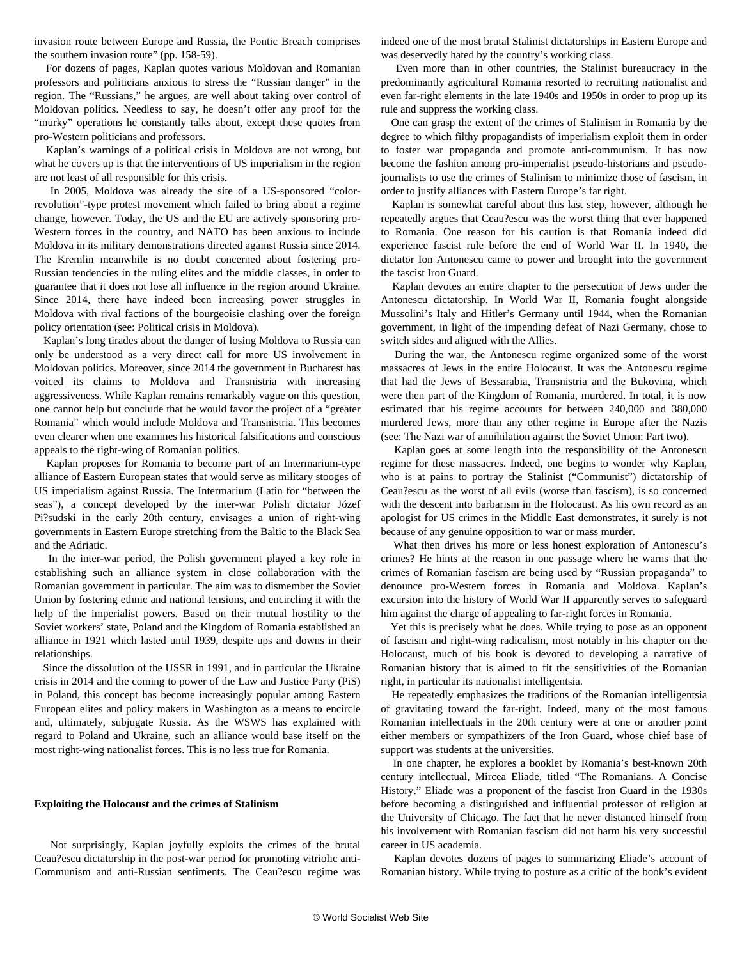invasion route between Europe and Russia, the Pontic Breach comprises the southern invasion route" (pp. 158-59).

 For dozens of pages, Kaplan quotes various Moldovan and Romanian professors and politicians anxious to stress the "Russian danger" in the region. The "Russians," he argues, are well about taking over control of Moldovan politics. Needless to say, he doesn't offer any proof for the "murky" operations he constantly talks about, except these quotes from pro-Western politicians and professors.

 Kaplan's warnings of a political crisis in Moldova are not wrong, but what he covers up is that the interventions of US imperialism in the region are not least of all responsible for this crisis.

 In 2005, Moldova was already the site of a US-sponsored "colorrevolution"-type protest movement which failed to bring about a regime change, however. Today, the US and the EU are actively sponsoring pro-Western forces in the country, and NATO has been anxious to include Moldova in its military demonstrations directed against Russia since 2014. The Kremlin meanwhile is no doubt concerned about fostering pro-Russian tendencies in the ruling elites and the middle classes, in order to guarantee that it does not lose all influence in the region around Ukraine. Since 2014, there have indeed been increasing power struggles in Moldova with rival factions of the bourgeoisie clashing over the foreign policy orientation (see: [Political crisis in Moldova\)](/en/articles/2015/09/24/mold-s24.html).

 Kaplan's long tirades about the danger of losing Moldova to Russia can only be understood as a very direct call for more US involvement in Moldovan politics. Moreover, since 2014 the government in Bucharest has voiced its claims to Moldova and Transnistria with increasing aggressiveness. While Kaplan remains remarkably vague on this question, one cannot help but conclude that he would favor the project of a "greater Romania" which would include Moldova and Transnistria. This becomes even clearer when one examines his historical falsifications and conscious appeals to the right-wing of Romanian politics.

 Kaplan proposes for Romania to become part of an Intermarium-type alliance of Eastern European states that would serve as military stooges of US imperialism against Russia. The Intermarium (Latin for "between the seas"), a concept developed by the inter-war Polish dictator Józef Pi?sudski in the early 20th century, envisages a union of right-wing governments in Eastern Europe stretching from the Baltic to the Black Sea and the Adriatic.

 In the inter-war period, the Polish government played a key role in establishing such an alliance system in close collaboration with the Romanian government in particular. The aim was to dismember the Soviet Union by fostering ethnic and national tensions, and encircling it with the help of the imperialist powers. Based on their mutual hostility to the Soviet workers' state, Poland and the Kingdom of Romania established an alliance in 1921 which lasted until 1939, despite ups and downs in their relationships.

 Since the dissolution of the USSR in 1991, and in particular the Ukraine crisis in 2014 and the coming to power of the Law and Justice Party (PiS) in Poland, this concept has become increasingly popular among Eastern European elites and policy makers in Washington as a means to encircle and, ultimately, subjugate Russia. As the WSWS has explained with regard to Poland and Ukraine, such an alliance would base itself on the most right-wing nationalist forces. This is no less true for Romania.

## **Exploiting the Holocaust and the crimes of Stalinism**

 Not surprisingly, Kaplan joyfully exploits the crimes of the brutal Ceau?escu dictatorship in the post-war period for promoting vitriolic anti-Communism and anti-Russian sentiments. The Ceau?escu regime was indeed one of the most brutal Stalinist dictatorships in Eastern Europe and was deservedly hated by the country's working class.

 Even more than in other countries, the Stalinist bureaucracy in the predominantly agricultural Romania resorted to recruiting nationalist and even far-right elements in the late 1940s and 1950s in order to prop up its rule and suppress the working class.

 One can grasp the extent of the crimes of Stalinism in Romania by the degree to which filthy propagandists of imperialism exploit them in order to foster war propaganda and promote anti-communism. It has now become the fashion among pro-imperialist pseudo-historians and pseudojournalists to use the crimes of Stalinism to minimize those of fascism, in order to justify alliances with Eastern Europe's far right.

 Kaplan is somewhat careful about this last step, however, although he repeatedly argues that Ceau?escu was the worst thing that ever happened to Romania. One reason for his caution is that Romania indeed did experience fascist rule before the end of World War II. In 1940, the dictator Ion Antonescu came to power and brought into the government the fascist Iron Guard.

 Kaplan devotes an entire chapter to the persecution of Jews under the Antonescu dictatorship. In World War II, Romania fought alongside Mussolini's Italy and Hitler's Germany until 1944, when the Romanian government, in light of the impending defeat of Nazi Germany, chose to switch sides and aligned with the Allies.

 During the war, the Antonescu regime organized some of the worst massacres of Jews in the entire Holocaust. It was the Antonescu regime that had the Jews of Bessarabia, Transnistria and the Bukovina, which were then part of the Kingdom of Romania, murdered. In total, it is now estimated that his regime accounts for between 240,000 and 380,000 murdered Jews, more than any other regime in Europe after the Nazis (see: [The Nazi war of annihilation against the Soviet Union: Part two\)](/en/articles/2015/01/13/nazi-j13.html).

 Kaplan goes at some length into the responsibility of the Antonescu regime for these massacres. Indeed, one begins to wonder why Kaplan, who is at pains to portray the Stalinist ("Communist") dictatorship of Ceau?escu as the worst of all evils (worse than fascism), is so concerned with the descent into barbarism in the Holocaust. As his own record as an apologist for US crimes in the Middle East demonstrates, it surely is not because of any genuine opposition to war or mass murder.

 What then drives his more or less honest exploration of Antonescu's crimes? He hints at the reason in one passage where he warns that the crimes of Romanian fascism are being used by "Russian propaganda" to denounce pro-Western forces in Romania and Moldova. Kaplan's excursion into the history of World War II apparently serves to safeguard him against the charge of appealing to far-right forces in Romania.

 Yet this is precisely what he does. While trying to pose as an opponent of fascism and right-wing radicalism, most notably in his chapter on the Holocaust, much of his book is devoted to developing a narrative of Romanian history that is aimed to fit the sensitivities of the Romanian right, in particular its nationalist intelligentsia.

 He repeatedly emphasizes the traditions of the Romanian intelligentsia of gravitating toward the far-right. Indeed, many of the most famous Romanian intellectuals in the 20th century were at one or another point either members or sympathizers of the Iron Guard, whose chief base of support was students at the universities.

 In one chapter, he explores a booklet by Romania's best-known 20th century intellectual, Mircea Eliade, titled "The Romanians. A Concise History." Eliade was a proponent of the fascist Iron Guard in the 1930s before becoming a distinguished and influential professor of religion at the University of Chicago. The fact that he never distanced himself from his involvement with Romanian fascism did not harm his very successful career in US academia.

 Kaplan devotes dozens of pages to summarizing Eliade's account of Romanian history. While trying to posture as a critic of the book's evident